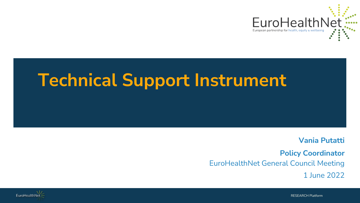

# **Technical Support Instrument**

**Vania Putatti**

**Policy Coordinator** EuroHealthNet General Council Meeting 1 June 2022



RESEARCH Platform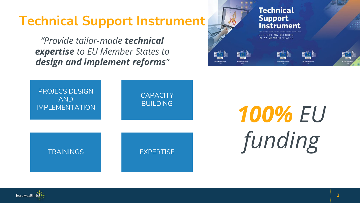# **Technical Support Instrument**

*"Provide tailor-made technical expertise to EU Member States to design and implement reforms"*



**SUPPORTING REFORMS** 







PROJECS DESIGN AND IMPLEMENTATION **CAPACITY** BUILDING

# *100% EU funding*



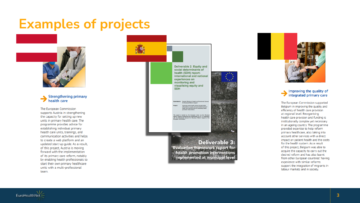## **Examples of projects**



#### **Strengthening primary** health care

The European Commission supports Austria in strengthening the capacity for setting up new units in primary health care. The programme provides advice for establishing individual primary health care units, trainings, and communication activities and helps to create a web platform and an updated start-up guide. As a result, of this project. Austria is moving forward with the implementation of its primary care reform, notably by enabling health professionals to start their own primary healthcare units with a multi-professional team.

Deliverable 2: Equity and social determinants of health (SDH) reportinternational and national experiences on monitoring and visualising equity and **SDH** linistry of Health and Direct ublic health actions through bet<br>on equity and social determinar<br>mproved tools for evaluating he iroject is funded by the European Union via the Structuri<br>in Support Programme and implemented by ICF, in cooperatio<br>he Directorate General for Structural Reform Support of th



**Deliverable 3: Evaluation framework report for** health promotion interventions implemented at municipal level



#### Improving the quality of integrated primary care

The European Commission supported Belgium in improving the quality and efficiency of health care provision at regional level. Reorganising health care provision and funding is institutionally complex yet necessary in an ageing country. The programme provided expertise to help reform primary healthcare, also taking into account other services with a direct impact on patient health and the costs for the health system. As a result of this project, Belgium was able to acquire the capacity to carry out the desired reform and has also learnt from other European countries' having experience with similar reforms. support the integration of migrants in labour markets and in society.

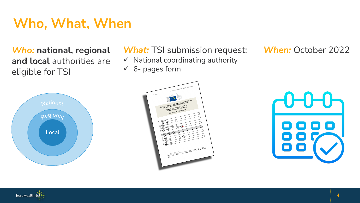# **Who, What, When**

*Who:* **national, regional and local** authorities are eligible for TSI



## *What:* TSI submission request: *When:* October 2022

 $\checkmark$  National coordinating authority

 $6$ - pages form





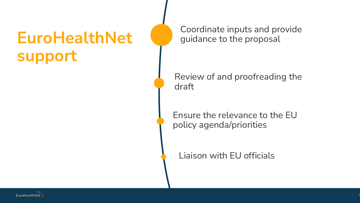# **EuroHealthNet support**

Coordinate inputs and provide guidance to the proposal

Review of and proofreading the draft

Ensure the relevance to the EU policy agenda/priorities

Liaison with EU officials

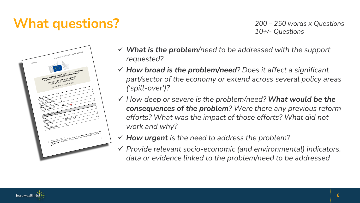# **What questions?**

*200 – 250 words x Questions 10+/- Questions*



- *What is the problem/need to be addressed with the support requested?*
- *How broad is the problem/need? Does it affect a significant part/sector of the economy or extend across several policy areas ('spill-over')?*
- *How deep or severe is the problem/need? What would be the consequences of the problem? Were there any previous reform efforts? What was the impact of those efforts? What did not work and why?*
- *How urgent is the need to address the problem?*
- *Provide relevant socio-economic (and environmental) indicators, data or evidence linked to the problem/need to be addressed*

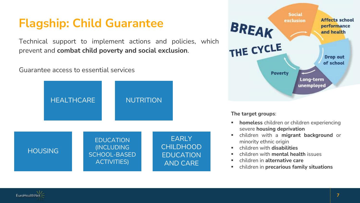## **Flagship: Child Guarantee**

Technical support to implement actions and policies, which prevent and **combat child poverty and social exclusion**.

### Guarantee access to essential services





- children with a **migrant background** or minority ethnic origin
- children with **disabilities**
- children with **mental health** issues
- children in **alternative care**
- children in **precarious family situations**

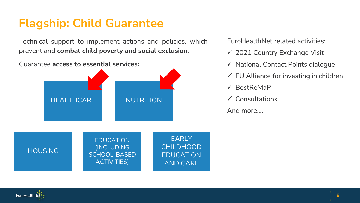## **Flagship: Child Guarantee**

Technical support to implement actions and policies, which prevent and **combat child poverty and social exclusion**.



EuroHealthNet related activities:

- $\checkmark$  2021 Country Exchange Visit
- $\checkmark$  National Contact Points dialoque
- $\checkmark$  EU Alliance for investing in children
- $\checkmark$  BestReMaP
- $\checkmark$  Consultations
- And more….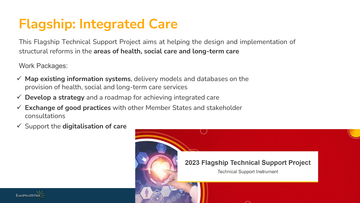# **Flagship: Integrated Care**

This Flagship Technical Support Project aims at helping the design and implementation of structural reforms in the **areas of health, social care and long-term care**

Work Packages:

- **Map existing information systems**, delivery models and databases on the provision of health, social and long-term care services
- **Develop a strategy** and a roadmap for achieving integrated care
- **Exchange of good practices** with other Member States and stakeholder consultations
- Support the **digitalisation of care**



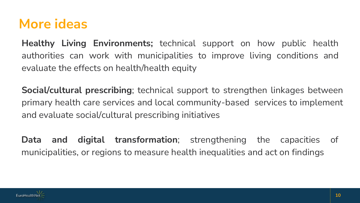# **More ideas**

**Healthy Living Environments;** technical support on how public health authorities can work with municipalities to improve living conditions and evaluate the effects on health/health equity

**Social/cultural prescribing**; technical support to strengthen linkages between primary health care services and local community-based services to implement and evaluate social/cultural prescribing initiatives

**Data and digital transformation**; strengthening the capacities of municipalities, or regions to measure health inequalities and act on findings